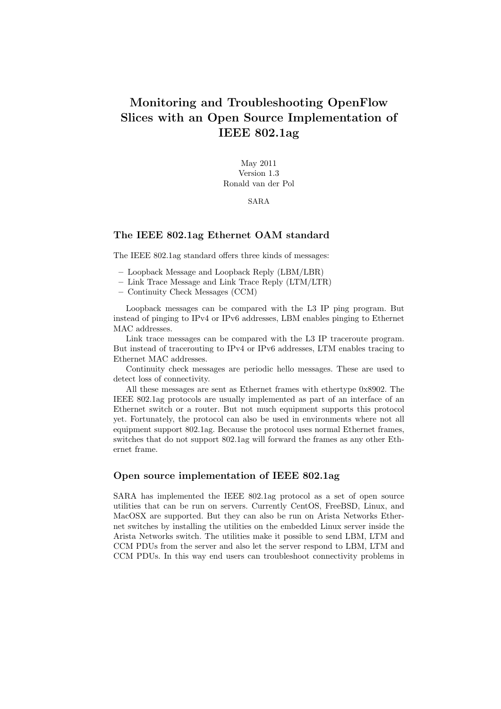# Monitoring and Troubleshooting OpenFlow Slices with an Open Source Implementation of IEEE 802.1ag

May 2011 Version 1.3 Ronald van der Pol

SARA

## The IEEE 802.1ag Ethernet OAM standard

The IEEE 802.1ag standard offers three kinds of messages:

- Loopback Message and Loopback Reply (LBM/LBR)
- Link Trace Message and Link Trace Reply (LTM/LTR)
- Continuity Check Messages (CCM)

Loopback messages can be compared with the L3 IP ping program. But instead of pinging to IPv4 or IPv6 addresses, LBM enables pinging to Ethernet MAC addresses.

Link trace messages can be compared with the L3 IP traceroute program. But instead of tracerouting to IPv4 or IPv6 addresses, LTM enables tracing to Ethernet MAC addresses.

Continuity check messages are periodic hello messages. These are used to detect loss of connectivity.

All these messages are sent as Ethernet frames with ethertype 0x8902. The IEEE 802.1ag protocols are usually implemented as part of an interface of an Ethernet switch or a router. But not much equipment supports this protocol yet. Fortunately, the protocol can also be used in environments where not all equipment support 802.1ag. Because the protocol uses normal Ethernet frames, switches that do not support 802.1ag will forward the frames as any other Ethernet frame.

### Open source implementation of IEEE 802.1ag

SARA has implemented the IEEE 802.1ag protocol as a set of open source utilities that can be run on servers. Currently CentOS, FreeBSD, Linux, and MacOSX are supported. But they can also be run on Arista Networks Ethernet switches by installing the utilities on the embedded Linux server inside the Arista Networks switch. The utilities make it possible to send LBM, LTM and CCM PDUs from the server and also let the server respond to LBM, LTM and CCM PDUs. In this way end users can troubleshoot connectivity problems in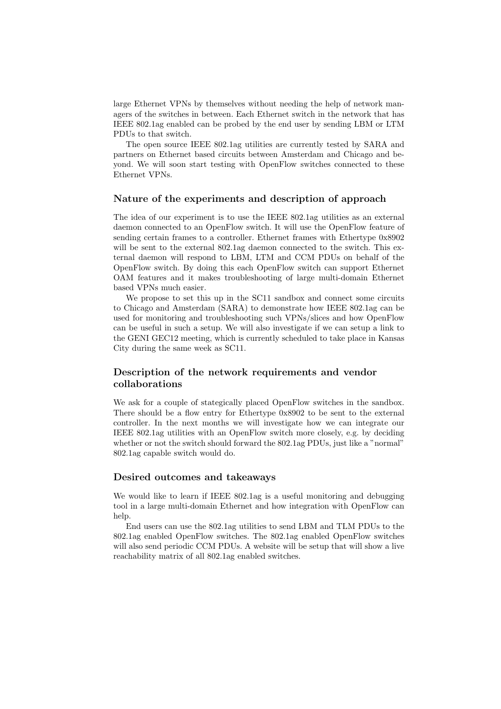large Ethernet VPNs by themselves without needing the help of network managers of the switches in between. Each Ethernet switch in the network that has IEEE 802.1ag enabled can be probed by the end user by sending LBM or LTM PDUs to that switch.

The open source IEEE 802.1ag utilities are currently tested by SARA and partners on Ethernet based circuits between Amsterdam and Chicago and beyond. We will soon start testing with OpenFlow switches connected to these Ethernet VPNs.

## Nature of the experiments and description of approach

The idea of our experiment is to use the IEEE 802.1ag utilities as an external daemon connected to an OpenFlow switch. It will use the OpenFlow feature of sending certain frames to a controller. Ethernet frames with Ethertype 0x8902 will be sent to the external 802.1ag daemon connected to the switch. This external daemon will respond to LBM, LTM and CCM PDUs on behalf of the OpenFlow switch. By doing this each OpenFlow switch can support Ethernet OAM features and it makes troubleshooting of large multi-domain Ethernet based VPNs much easier.

We propose to set this up in the SC11 sandbox and connect some circuits to Chicago and Amsterdam (SARA) to demonstrate how IEEE 802.1ag can be used for monitoring and troubleshooting such VPNs/slices and how OpenFlow can be useful in such a setup. We will also investigate if we can setup a link to the GENI GEC12 meeting, which is currently scheduled to take place in Kansas City during the same week as SC11.

## Description of the network requirements and vendor collaborations

We ask for a couple of stategically placed OpenFlow switches in the sandbox. There should be a flow entry for Ethertype 0x8902 to be sent to the external controller. In the next months we will investigate how we can integrate our IEEE 802.1ag utilities with an OpenFlow switch more closely, e.g. by deciding whether or not the switch should forward the 802.1ag PDUs, just like a "normal" 802.1ag capable switch would do.

#### Desired outcomes and takeaways

We would like to learn if IEEE 802.1ag is a useful monitoring and debugging tool in a large multi-domain Ethernet and how integration with OpenFlow can help.

End users can use the 802.1ag utilities to send LBM and TLM PDUs to the 802.1ag enabled OpenFlow switches. The 802.1ag enabled OpenFlow switches will also send periodic CCM PDUs. A website will be setup that will show a live reachability matrix of all 802.1ag enabled switches.